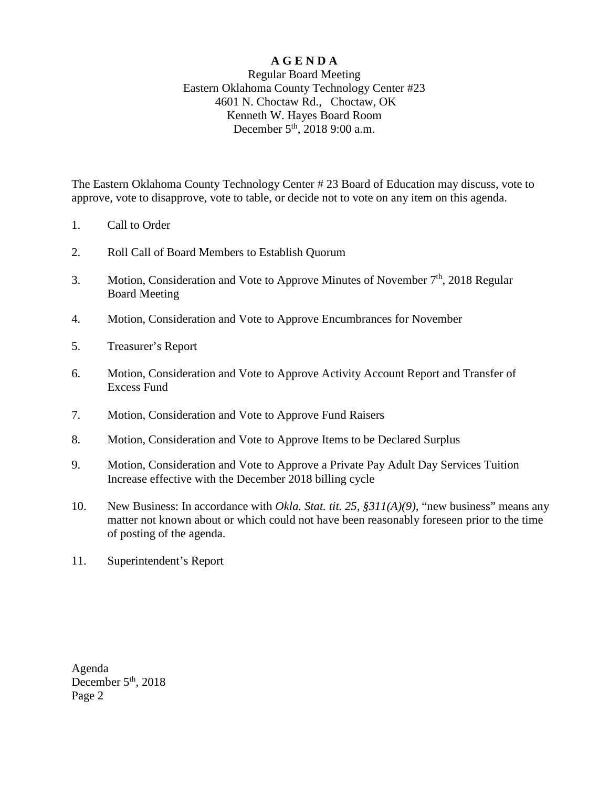## **A G E N D A**

## Regular Board Meeting Eastern Oklahoma County Technology Center #23 4601 N. Choctaw Rd., Choctaw, OK Kenneth W. Hayes Board Room December 5<sup>th</sup>, 2018 9:00 a.m.

The Eastern Oklahoma County Technology Center # 23 Board of Education may discuss, vote to approve, vote to disapprove, vote to table, or decide not to vote on any item on this agenda.

- 1. Call to Order
- 2. Roll Call of Board Members to Establish Quorum
- 3. Motion, Consideration and Vote to Approve Minutes of November  $7<sup>th</sup>$ , 2018 Regular Board Meeting
- 4. Motion, Consideration and Vote to Approve Encumbrances for November
- 5. Treasurer's Report
- 6. Motion, Consideration and Vote to Approve Activity Account Report and Transfer of Excess Fund
- 7. Motion, Consideration and Vote to Approve Fund Raisers
- 8. Motion, Consideration and Vote to Approve Items to be Declared Surplus
- 9. Motion, Consideration and Vote to Approve a Private Pay Adult Day Services Tuition Increase effective with the December 2018 billing cycle
- 10. New Business: In accordance with *Okla. Stat. tit. 25, §311(A)(9)*, "new business" means any matter not known about or which could not have been reasonably foreseen prior to the time of posting of the agenda.
- 11. Superintendent's Report

Agenda December 5<sup>th</sup>, 2018 Page 2